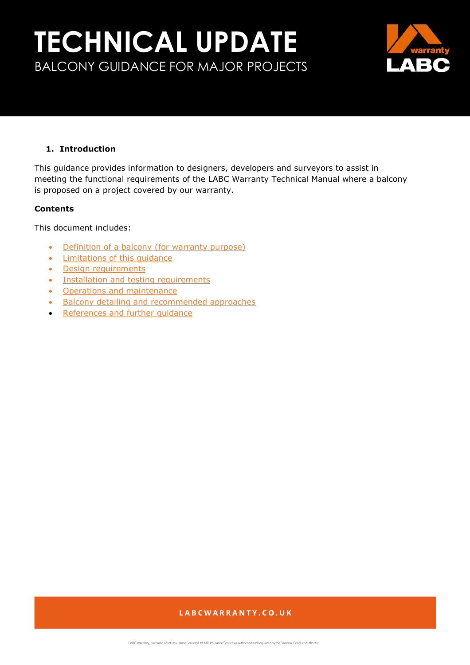

## <span id="page-0-0"></span>**1. Introduction**

This guidance provides information to designers, developers and surveyors to assist in meeting the functional requirements of the LABC Warranty Technical Manual where a balcony is proposed on a project covered by our warranty.

## **Contents**

This document includes:

- [Definition of a balcony \(for warranty purpose\)](#page-1-0)
- Limitations of this quidance
- [Design requirements](#page-4-0)
- [Installation and testing requirements](#page-19-0)
- [Operations and maintenance](#page-20-0)
- [Balcony detailing and recommended approaches](#page-5-0)
- [References and further guidance](#page-21-0)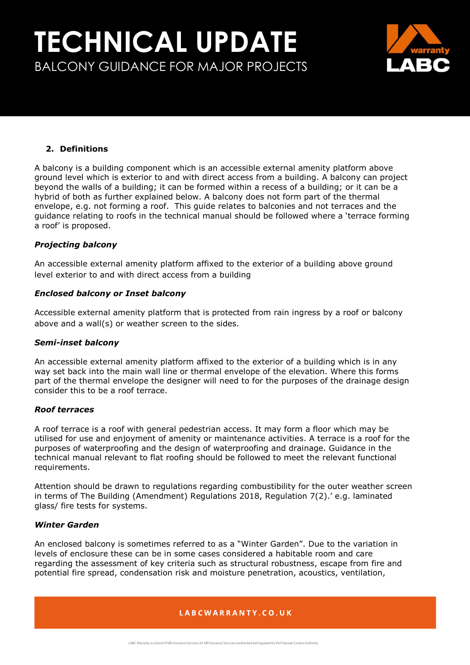

## <span id="page-1-0"></span>**2. Definitions**

A balcony is a building component which is an accessible external amenity platform above ground level which is exterior to and with direct access from a building. A balcony can project beyond the walls of a building; it can be formed within a recess of a building; or it can be a hybrid of both as further explained below. A balcony does not form part of the thermal envelope, e.g. not forming a roof. This guide relates to balconies and not terraces and the guidance relating to roofs in the technical manual should be followed where a 'terrace forming a roof' is proposed.

## *Projecting balcony*

An accessible external amenity platform affixed to the exterior of a building above ground level exterior to and with direct access from a building

## *Enclosed balcony or Inset balcony*

Accessible external amenity platform that is protected from rain ingress by a roof or balcony above and a wall(s) or weather screen to the sides.

## *Semi-inset balcony*

An accessible external amenity platform affixed to the exterior of a building which is in any way set back into the main wall line or thermal envelope of the elevation. Where this forms part of the thermal envelope the designer will need to for the purposes of the drainage design consider this to be a roof terrace.

## *Roof terraces*

A roof terrace is a roof with general pedestrian access. It may form a floor which may be utilised for use and enjoyment of amenity or maintenance activities. A terrace is a roof for the purposes of waterproofing and the design of waterproofing and drainage. Guidance in the technical manual relevant to flat roofing should be followed to meet the relevant functional requirements.

Attention should be drawn to regulations regarding combustibility for the outer weather screen in terms of The Building (Amendment) Regulations 2018, Regulation 7(2).' e.g. laminated glass/ fire tests for systems.

## *Winter Garden*

An enclosed balcony is sometimes referred to as a "Winter Garden". Due to the variation in levels of enclosure these can be in some cases considered a habitable room and care regarding the assessment of key criteria such as structural robustness, escape from fire and potential fire spread, condensation risk and moisture penetration, acoustics, ventilation,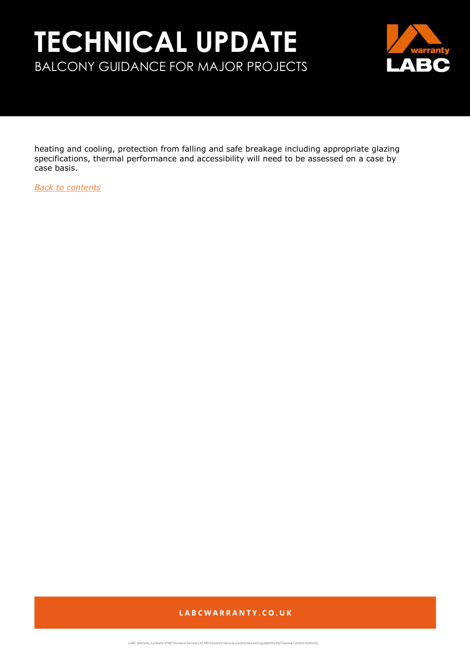

heating and cooling, protection from falling and safe breakage including appropriate glazing specifications, thermal performance and accessibility will need to be assessed on a case by case basis.

*[Back to contents](#page-0-0)*

## LABCWARRANTY.CO.UK

LABC Warranty, is a brand of MD Insurance Services Ltd. MD Insurance Services is authorised and regulated by the Financial Conduct Authority.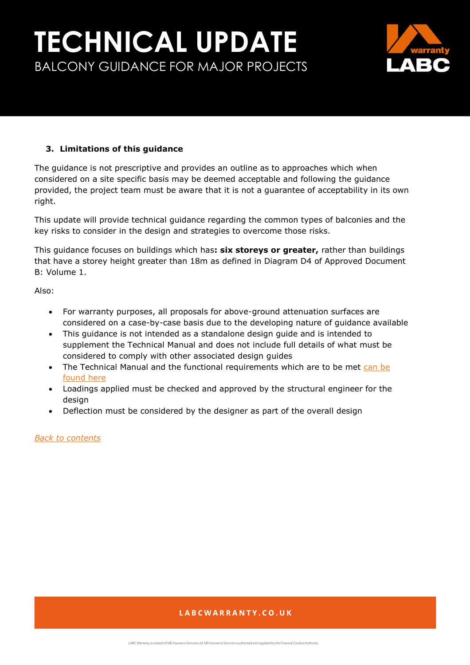

## <span id="page-3-0"></span>**3. Limitations of this guidance**

The guidance is not prescriptive and provides an outline as to approaches which when considered on a site specific basis may be deemed acceptable and following the guidance provided, the project team must be aware that it is not a guarantee of acceptability in its own right.

This update will provide technical guidance regarding the common types of balconies and the key risks to consider in the design and strategies to overcome those risks.

This guidance focuses on buildings which has**: six storeys or greater,** rather than buildings that have a storey height greater than 18m as defined in Diagram D4 of Approved Document B: Volume 1.

Also:

- For warranty purposes, all proposals for above-ground attenuation surfaces are considered on a case-by-case basis due to the developing nature of guidance available
- This guidance is not intended as a standalone design guide and is intended to supplement the Technical Manual and does not include full details of what must be considered to comply with other associated design guides
- The Technical Manual and the functional requirements which are to be met can be [found here](https://info.labcwarranty.co.uk/technical-manual)
- Loadings applied must be checked and approved by the structural engineer for the design
- Deflection must be considered by the designer as part of the overall design

*[Back to contents](#page-0-0)*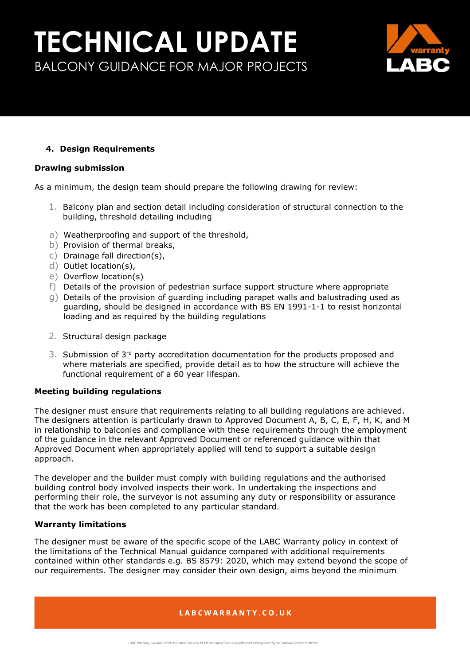

## <span id="page-4-0"></span>**4. Design Requirements**

### **Drawing submission**

As a minimum, the design team should prepare the following drawing for review:

- 1. Balcony plan and section detail including consideration of structural connection to the building, threshold detailing including
- a) Weatherproofing and support of the threshold,
- b) Provision of thermal breaks,
- c) Drainage fall direction(s),
- d) Outlet location(s),
- e) Overflow location(s)
- f) Details of the provision of pedestrian surface support structure where appropriate
- g) Details of the provision of guarding including parapet walls and balustrading used as guarding, should be designed in accordance with BS EN 1991-1-1 to resist horizontal loading and as required by the building regulations
- 2. Structural design package
- 3. Submission of 3<sup>rd</sup> party accreditation documentation for the products proposed and where materials are specified, provide detail as to how the structure will achieve the functional requirement of a 60 year lifespan.

## **Meeting building regulations**

The designer must ensure that requirements relating to all building regulations are achieved. The designers attention is particularly drawn to Approved Document A, B, C, E, F, H, K, and M in relationship to balconies and compliance with these requirements through the employment of the guidance in the relevant Approved Document or referenced guidance within that Approved Document when appropriately applied will tend to support a suitable design approach.

The developer and the builder must comply with building regulations and the authorised building control body involved inspects their work. In undertaking the inspections and performing their role, the surveyor is not assuming any duty or responsibility or assurance that the work has been completed to any particular standard.

### **Warranty limitations**

The designer must be aware of the specific scope of the LABC Warranty policy in context of the limitations of the Technical Manual guidance compared with additional requirements contained within other standards e.g. BS 8579: 2020, which may extend beyond the scope of our requirements. The designer may consider their own design, aims beyond the minimum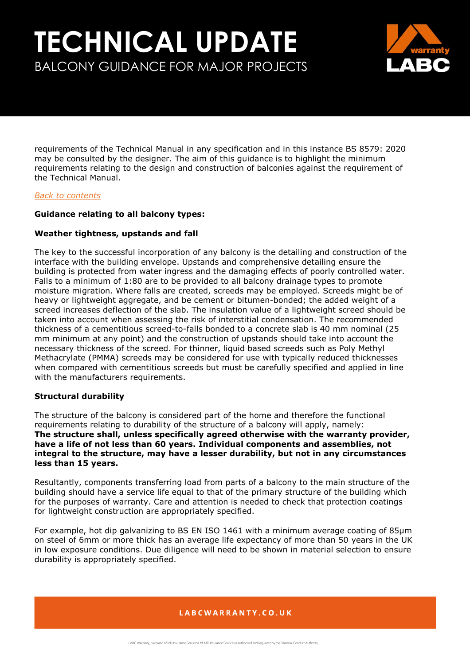

requirements of the Technical Manual in any specification and in this instance BS 8579: 2020 may be consulted by the designer. The aim of this guidance is to highlight the minimum requirements relating to the design and construction of balconies against the requirement of the Technical Manual.

### *[Back to contents](#page-0-0)*

### <span id="page-5-0"></span>**Guidance relating to all balcony types:**

### **Weather tightness, upstands and fall**

The key to the successful incorporation of any balcony is the detailing and construction of the interface with the building envelope. Upstands and comprehensive detailing ensure the building is protected from water ingress and the damaging effects of poorly controlled water. Falls to a minimum of 1:80 are to be provided to all balcony drainage types to promote moisture migration. Where falls are created, screeds may be employed. Screeds might be of heavy or lightweight aggregate, and be cement or bitumen-bonded; the added weight of a screed increases deflection of the slab. The insulation value of a lightweight screed should be taken into account when assessing the risk of interstitial condensation. The recommended thickness of a cementitious screed-to-falls bonded to a concrete slab is 40 mm nominal (25 mm minimum at any point) and the construction of upstands should take into account the necessary thickness of the screed. For thinner, liquid based screeds such as Poly Methyl Methacrylate (PMMA) screeds may be considered for use with typically reduced thicknesses when compared with cementitious screeds but must be carefully specified and applied in line with the manufacturers requirements.

### **Structural durability**

The structure of the balcony is considered part of the home and therefore the functional requirements relating to durability of the structure of a balcony will apply, namely: **The structure shall, unless specifically agreed otherwise with the warranty provider, have a life of not less than 60 years. Individual components and assemblies, not integral to the structure, may have a lesser durability, but not in any circumstances less than 15 years.**

Resultantly, components transferring load from parts of a balcony to the main structure of the building should have a service life equal to that of the primary structure of the building which for the purposes of warranty. Care and attention is needed to check that protection coatings for lightweight construction are appropriately specified.

For example, hot dip galvanizing to BS EN ISO 1461 with a minimum average coating of 85μm on steel of 6mm or more thick has an average life expectancy of more than 50 years in the UK in low exposure conditions. Due diligence will need to be shown in material selection to ensure durability is appropriately specified.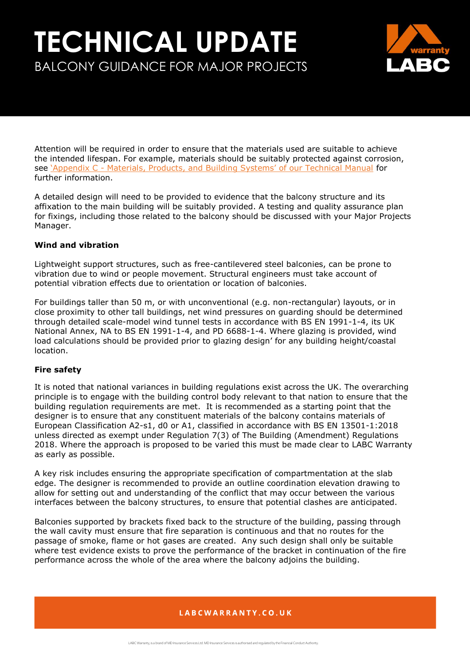

Attention will be required in order to ensure that the materials used are suitable to achieve the intended lifespan. For example, materials should be suitably protected against corrosion, see 'Appendix C - [Materials, Products, and Building Systems' of our Technical Manual](https://info.labcwarranty.co.uk/technical-manual-apc) for further information.

A detailed design will need to be provided to evidence that the balcony structure and its affixation to the main building will be suitably provided. A testing and quality assurance plan for fixings, including those related to the balcony should be discussed with your Major Projects Manager.

## **Wind and vibration**

Lightweight support structures, such as free-cantilevered steel balconies, can be prone to vibration due to wind or people movement. Structural engineers must take account of potential vibration effects due to orientation or location of balconies.

For buildings taller than 50 m, or with unconventional (e.g. non-rectangular) layouts, or in close proximity to other tall buildings, net wind pressures on guarding should be determined through detailed scale-model wind tunnel tests in accordance with BS EN 1991-1-4, its UK National Annex, NA to BS EN 1991-1-4, and PD 6688-1-4. Where glazing is provided, wind load calculations should be provided prior to glazing design' for any building height/coastal location.

## **Fire safety**

It is noted that national variances in building regulations exist across the UK. The overarching principle is to engage with the building control body relevant to that nation to ensure that the building regulation requirements are met. It is recommended as a starting point that the designer is to ensure that any constituent materials of the balcony contains materials of European Classification A2-s1, d0 or A1, classified in accordance with BS EN 13501-1:2018 unless directed as exempt under Regulation 7(3) of The Building (Amendment) Regulations 2018. Where the approach is proposed to be varied this must be made clear to LABC Warranty as early as possible.

A key risk includes ensuring the appropriate specification of compartmentation at the slab edge. The designer is recommended to provide an outline coordination elevation drawing to allow for setting out and understanding of the conflict that may occur between the various interfaces between the balcony structures, to ensure that potential clashes are anticipated.

Balconies supported by brackets fixed back to the structure of the building, passing through the wall cavity must ensure that fire separation is continuous and that no routes for the passage of smoke, flame or hot gases are created. Any such design shall only be suitable where test evidence exists to prove the performance of the bracket in continuation of the fire performance across the whole of the area where the balcony adjoins the building.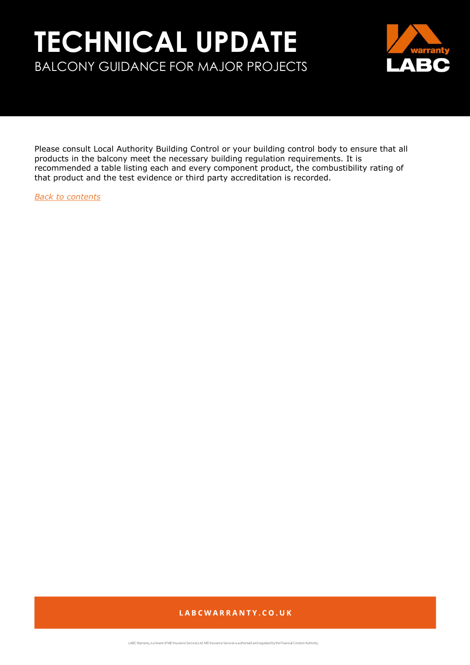

Please consult Local Authority Building Control or your building control body to ensure that all products in the balcony meet the necessary building regulation requirements. It is recommended a table listing each and every component product, the combustibility rating of that product and the test evidence or third party accreditation is recorded.

*[Back to contents](#page-0-0)*

## LABCWARRANTY.CO.UK

LABC Warranty, is a brand of MD Insurance Services Ltd. MD Insurance Services is authorised and regulated by the Financial Conduct Authority.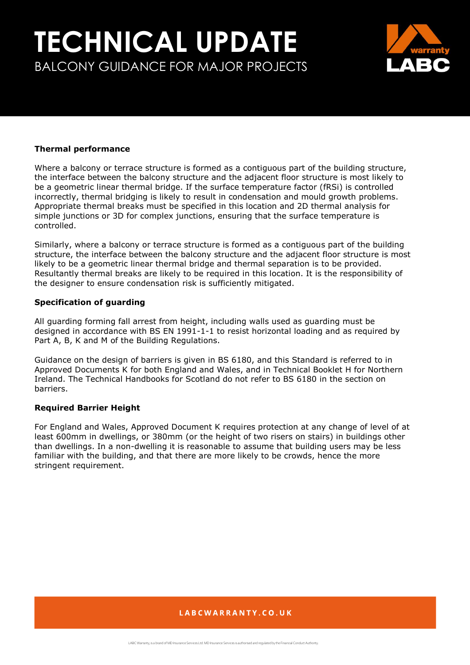

### **Thermal performance**

Where a balcony or terrace structure is formed as a contiguous part of the building structure, the interface between the balcony structure and the adjacent floor structure is most likely to be a geometric linear thermal bridge. If the surface temperature factor (fRSi) is controlled incorrectly, thermal bridging is likely to result in condensation and mould growth problems. Appropriate thermal breaks must be specified in this location and 2D thermal analysis for simple junctions or 3D for complex junctions, ensuring that the surface temperature is controlled.

Similarly, where a balcony or terrace structure is formed as a contiguous part of the building structure, the interface between the balcony structure and the adjacent floor structure is most likely to be a geometric linear thermal bridge and thermal separation is to be provided. Resultantly thermal breaks are likely to be required in this location. It is the responsibility of the designer to ensure condensation risk is sufficiently mitigated.

### **Specification of guarding**

All guarding forming fall arrest from height, including walls used as guarding must be designed in accordance with BS EN 1991-1-1 to resist horizontal loading and as required by Part A, B, K and M of the Building Regulations.

Guidance on the design of barriers is given in BS 6180, and this Standard is referred to in Approved Documents K for both England and Wales, and in Technical Booklet H for Northern Ireland. The Technical Handbooks for Scotland do not refer to BS 6180 in the section on barriers.

## **Required Barrier Height**

For England and Wales, Approved Document K requires protection at any change of level of at least 600mm in dwellings, or 380mm (or the height of two risers on stairs) in buildings other than dwellings. In a non-dwelling it is reasonable to assume that building users may be less familiar with the building, and that there are more likely to be crowds, hence the more stringent requirement.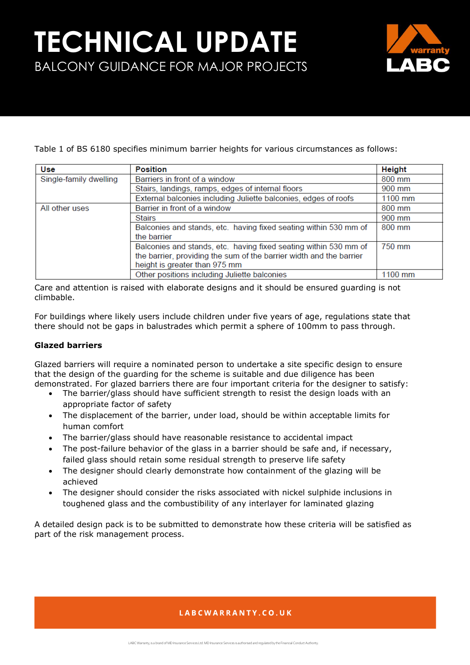

Table 1 of BS 6180 specifies minimum barrier heights for various circumstances as follows:

| Use                    | <b>Position</b>                                                     | Height   |
|------------------------|---------------------------------------------------------------------|----------|
| Single-family dwelling | Barriers in front of a window                                       | $800$ mm |
|                        | Stairs, landings, ramps, edges of internal floors                   | 900 mm   |
|                        | External balconies including Juliette balconies, edges of roofs     | 1100 mm  |
| All other uses         | Barrier in front of a window                                        | 800 mm   |
|                        | <b>Stairs</b>                                                       | 900 mm   |
|                        | Balconies and stands, etc. having fixed seating within 530 mm of    | 800 mm   |
|                        | the barrier                                                         |          |
|                        | Balconies and stands, etc. having fixed seating within 530 mm of    | 750 mm   |
|                        | the barrier, providing the sum of the barrier width and the barrier |          |
|                        | height is greater than 975 mm                                       |          |
|                        | Other positions including Juliette balconies                        | 1100 mm  |

Care and attention is raised with elaborate designs and it should be ensured guarding is not climbable.

For buildings where likely users include children under five years of age, regulations state that there should not be gaps in balustrades which permit a sphere of 100mm to pass through.

## **Glazed barriers**

Glazed barriers will require a nominated person to undertake a site specific design to ensure that the design of the guarding for the scheme is suitable and due diligence has been demonstrated. For glazed barriers there are four important criteria for the designer to satisfy:

- The barrier/glass should have sufficient strength to resist the design loads with an appropriate factor of safety
- The displacement of the barrier, under load, should be within acceptable limits for human comfort
- The barrier/glass should have reasonable resistance to accidental impact
- The post-failure behavior of the glass in a barrier should be safe and, if necessary, failed glass should retain some residual strength to preserve life safety
- The designer should clearly demonstrate how containment of the glazing will be achieved
- The designer should consider the risks associated with nickel sulphide inclusions in toughened glass and the combustibility of any interlayer for laminated glazing

A detailed design pack is to be submitted to demonstrate how these criteria will be satisfied as part of the risk management process.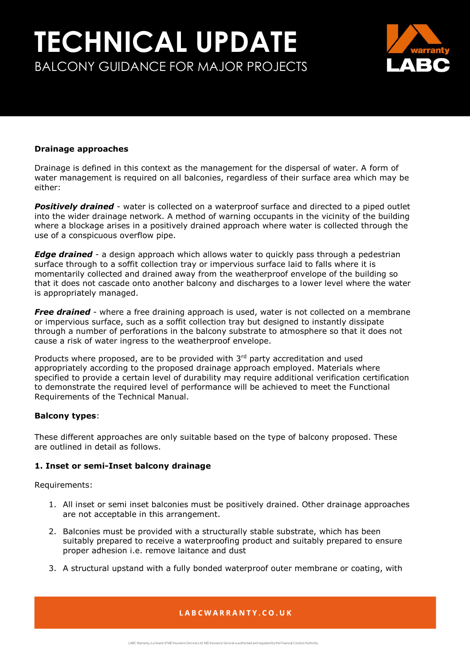

### **Drainage approaches**

Drainage is defined in this context as the management for the dispersal of water. A form of water management is required on all balconies, regardless of their surface area which may be either:

*Positively drained* - water is collected on a waterproof surface and directed to a piped outlet into the wider drainage network. A method of warning occupants in the vicinity of the building where a blockage arises in a positively drained approach where water is collected through the use of a conspicuous overflow pipe.

*Edge drained* - a design approach which allows water to quickly pass through a pedestrian surface through to a soffit collection tray or impervious surface laid to falls where it is momentarily collected and drained away from the weatherproof envelope of the building so that it does not cascade onto another balcony and discharges to a lower level where the water is appropriately managed.

**Free drained** - where a free draining approach is used, water is not collected on a membrane or impervious surface, such as a soffit collection tray but designed to instantly dissipate through a number of perforations in the balcony substrate to atmosphere so that it does not cause a risk of water ingress to the weatherproof envelope.

Products where proposed, are to be provided with 3rd party accreditation and used appropriately according to the proposed drainage approach employed. Materials where specified to provide a certain level of durability may require additional verification certification to demonstrate the required level of performance will be achieved to meet the Functional Requirements of the Technical Manual.

#### **Balcony types**:

These different approaches are only suitable based on the type of balcony proposed. These are outlined in detail as follows.

### **1. Inset or semi-Inset balcony drainage**

Requirements:

- 1. All inset or semi inset balconies must be positively drained. Other drainage approaches are not acceptable in this arrangement.
- 2. Balconies must be provided with a structurally stable substrate, which has been suitably prepared to receive a waterproofing product and suitably prepared to ensure proper adhesion i.e. remove laitance and dust
- 3. A structural upstand with a fully bonded waterproof outer membrane or coating, with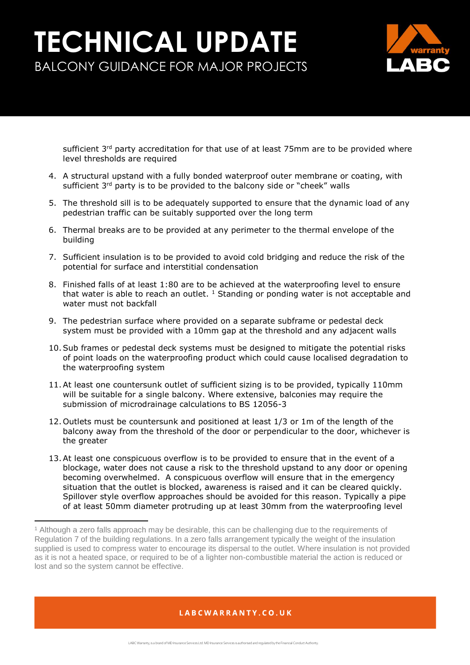

sufficient  $3^{rd}$  party accreditation for that use of at least 75mm are to be provided where level thresholds are required

- 4. A structural upstand with a fully bonded waterproof outer membrane or coating, with sufficient 3<sup>rd</sup> party is to be provided to the balcony side or "cheek" walls
- 5. The threshold sill is to be adequately supported to ensure that the dynamic load of any pedestrian traffic can be suitably supported over the long term
- 6. Thermal breaks are to be provided at any perimeter to the thermal envelope of the building
- 7. Sufficient insulation is to be provided to avoid cold bridging and reduce the risk of the potential for surface and interstitial condensation
- 8. Finished falls of at least 1:80 are to be achieved at the waterproofing level to ensure that water is able to reach an outlet.  $1$  Standing or ponding water is not acceptable and water must not backfall
- 9. The pedestrian surface where provided on a separate subframe or pedestal deck system must be provided with a 10mm gap at the threshold and any adjacent walls
- 10.Sub frames or pedestal deck systems must be designed to mitigate the potential risks of point loads on the waterproofing product which could cause localised degradation to the waterproofing system
- 11.At least one countersunk outlet of sufficient sizing is to be provided, typically 110mm will be suitable for a single balcony. Where extensive, balconies may require the submission of microdrainage calculations to BS 12056-3
- 12. Outlets must be countersunk and positioned at least 1/3 or 1m of the length of the balcony away from the threshold of the door or perpendicular to the door, whichever is the greater
- 13.At least one conspicuous overflow is to be provided to ensure that in the event of a blockage, water does not cause a risk to the threshold upstand to any door or opening becoming overwhelmed. A conspicuous overflow will ensure that in the emergency situation that the outlet is blocked, awareness is raised and it can be cleared quickly. Spillover style overflow approaches should be avoided for this reason. Typically a pipe of at least 50mm diameter protruding up at least 30mm from the waterproofing level

 $\overline{a}$ 

<sup>1</sup> Although a zero falls approach may be desirable, this can be challenging due to the requirements of Regulation 7 of the building regulations. In a zero falls arrangement typically the weight of the insulation supplied is used to compress water to encourage its dispersal to the outlet. Where insulation is not provided as it is not a heated space, or required to be of a lighter non-combustible material the action is reduced or lost and so the system cannot be effective.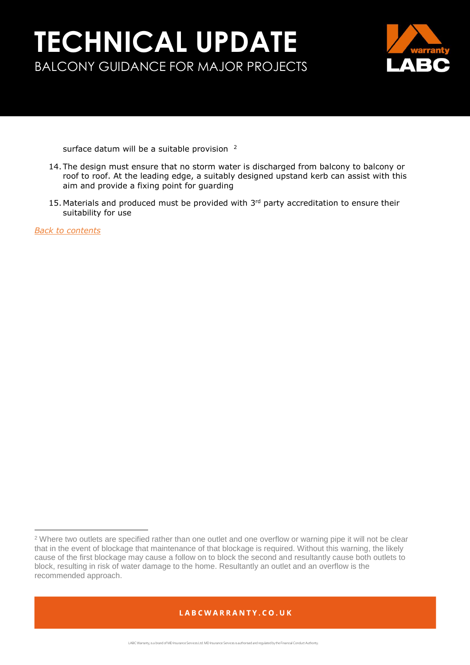

surface datum will be a suitable provision <sup>2</sup>

- 14. The design must ensure that no storm water is discharged from balcony to balcony or roof to roof. At the leading edge, a suitably designed upstand kerb can assist with this aim and provide a fixing point for guarding
- 15. Materials and produced must be provided with  $3<sup>rd</sup>$  party accreditation to ensure their suitability for use

*[Back to contents](#page-0-0)*

l

<sup>&</sup>lt;sup>2</sup> Where two outlets are specified rather than one outlet and one overflow or warning pipe it will not be clear that in the event of blockage that maintenance of that blockage is required. Without this warning, the likely cause of the first blockage may cause a follow on to block the second and resultantly cause both outlets to block, resulting in risk of water damage to the home. Resultantly an outlet and an overflow is the recommended approach.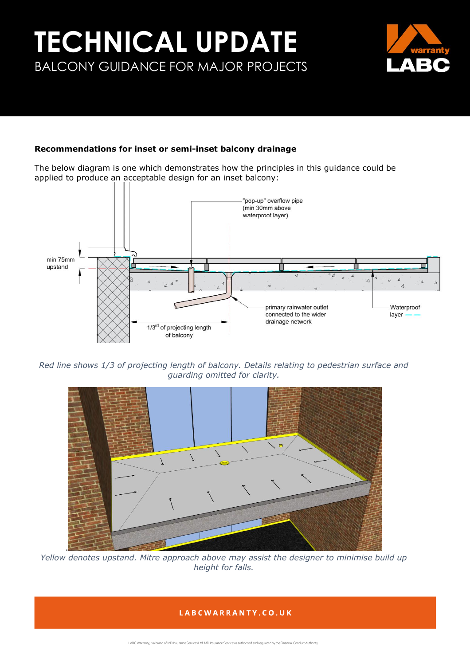

## **Recommendations for inset or semi-inset balcony drainage**

The below diagram is one which demonstrates how the principles in this guidance could be applied to produce an acceptable design for an inset balcony:



*Red line shows 1/3 of projecting length of balcony. Details relating to pedestrian surface and guarding omitted for clarity.* 



*Yellow denotes upstand. Mitre approach above may assist the designer to minimise build up height for falls.*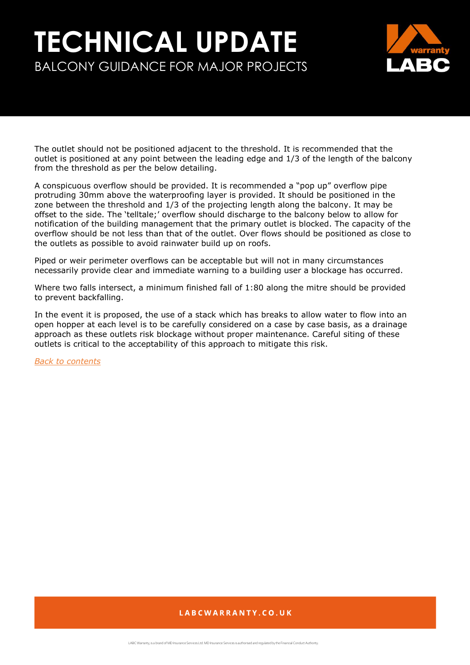

The outlet should not be positioned adjacent to the threshold. It is recommended that the outlet is positioned at any point between the leading edge and 1/3 of the length of the balcony from the threshold as per the below detailing.

A conspicuous overflow should be provided. It is recommended a "pop up" overflow pipe protruding 30mm above the waterproofing layer is provided. It should be positioned in the zone between the threshold and 1/3 of the projecting length along the balcony. It may be offset to the side. The 'telltale;' overflow should discharge to the balcony below to allow for notification of the building management that the primary outlet is blocked. The capacity of the overflow should be not less than that of the outlet. Over flows should be positioned as close to the outlets as possible to avoid rainwater build up on roofs.

Piped or weir perimeter overflows can be acceptable but will not in many circumstances necessarily provide clear and immediate warning to a building user a blockage has occurred.

Where two falls intersect, a minimum finished fall of 1:80 along the mitre should be provided to prevent backfalling.

In the event it is proposed, the use of a stack which has breaks to allow water to flow into an open hopper at each level is to be carefully considered on a case by case basis, as a drainage approach as these outlets risk blockage without proper maintenance. Careful siting of these outlets is critical to the acceptability of this approach to mitigate this risk.

*[Back to contents](#page-0-0)*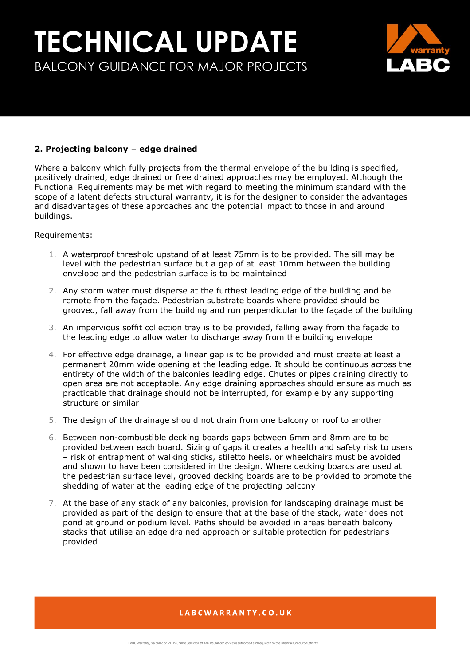

## **2. Projecting balcony – edge drained**

Where a balcony which fully projects from the thermal envelope of the building is specified, positively drained, edge drained or free drained approaches may be employed. Although the Functional Requirements may be met with regard to meeting the minimum standard with the scope of a latent defects structural warranty, it is for the designer to consider the advantages and disadvantages of these approaches and the potential impact to those in and around buildings.

### Requirements:

- 1. A waterproof threshold upstand of at least 75mm is to be provided. The sill may be level with the pedestrian surface but a gap of at least 10mm between the building envelope and the pedestrian surface is to be maintained
- 2. Any storm water must disperse at the furthest leading edge of the building and be remote from the façade. Pedestrian substrate boards where provided should be grooved, fall away from the building and run perpendicular to the façade of the building
- 3. An impervious soffit collection tray is to be provided, falling away from the façade to the leading edge to allow water to discharge away from the building envelope
- 4. For effective edge drainage, a linear gap is to be provided and must create at least a permanent 20mm wide opening at the leading edge. It should be continuous across the entirety of the width of the balconies leading edge. Chutes or pipes draining directly to open area are not acceptable. Any edge draining approaches should ensure as much as practicable that drainage should not be interrupted, for example by any supporting structure or similar
- 5. The design of the drainage should not drain from one balcony or roof to another
- 6. Between non-combustible decking boards gaps between 6mm and 8mm are to be provided between each board. Sizing of gaps it creates a health and safety risk to users – risk of entrapment of walking sticks, stiletto heels, or wheelchairs must be avoided and shown to have been considered in the design. Where decking boards are used at the pedestrian surface level, grooved decking boards are to be provided to promote the shedding of water at the leading edge of the projecting balcony
- 7. At the base of any stack of any balconies, provision for landscaping drainage must be provided as part of the design to ensure that at the base of the stack, water does not pond at ground or podium level. Paths should be avoided in areas beneath balcony stacks that utilise an edge drained approach or suitable protection for pedestrians provided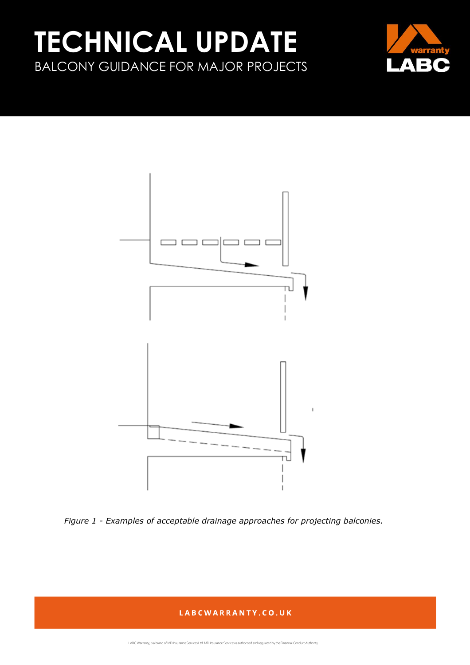



*Figure 1 - Examples of acceptable drainage approaches for projecting balconies.* 

## LABCWARRANTY.CO.UK

LABC Warranty, is a brand of MD Insurance Services Ltd. MD Insurance Services is authorised and regulated by the Financial Conduct Authority.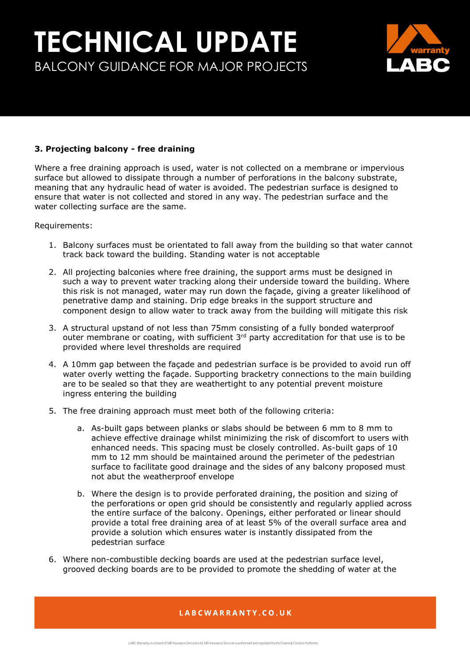

## **3. Projecting balcony - free draining**

Where a free draining approach is used, water is not collected on a membrane or impervious surface but allowed to dissipate through a number of perforations in the balcony substrate, meaning that any hydraulic head of water is avoided. The pedestrian surface is designed to ensure that water is not collected and stored in any way. The pedestrian surface and the water collecting surface are the same.

Requirements:

- 1. Balcony surfaces must be orientated to fall away from the building so that water cannot track back toward the building. Standing water is not acceptable
- 2. All projecting balconies where free draining, the support arms must be designed in such a way to prevent water tracking along their underside toward the building. Where this risk is not managed, water may run down the façade, giving a greater likelihood of penetrative damp and staining. Drip edge breaks in the support structure and component design to allow water to track away from the building will mitigate this risk
- 3. A structural upstand of not less than 75mm consisting of a fully bonded waterproof outer membrane or coating, with sufficient  $3<sup>rd</sup>$  party accreditation for that use is to be provided where level thresholds are required
- 4. A 10mm gap between the façade and pedestrian surface is be provided to avoid run off water overly wetting the façade. Supporting bracketry connections to the main building are to be sealed so that they are weathertight to any potential prevent moisture ingress entering the building
- 5. The free draining approach must meet both of the following criteria:
	- a. As-built gaps between planks or slabs should be between 6 mm to 8 mm to achieve effective drainage whilst minimizing the risk of discomfort to users with enhanced needs. This spacing must be closely controlled. As-built gaps of 10 mm to 12 mm should be maintained around the perimeter of the pedestrian surface to facilitate good drainage and the sides of any balcony proposed must not abut the weatherproof envelope
	- b. Where the design is to provide perforated draining, the position and sizing of the perforations or open grid should be consistently and regularly applied across the entire surface of the balcony. Openings, either perforated or linear should provide a total free draining area of at least 5% of the overall surface area and provide a solution which ensures water is instantly dissipated from the pedestrian surface
- 6. Where non-combustible decking boards are used at the pedestrian surface level, grooved decking boards are to be provided to promote the shedding of water at the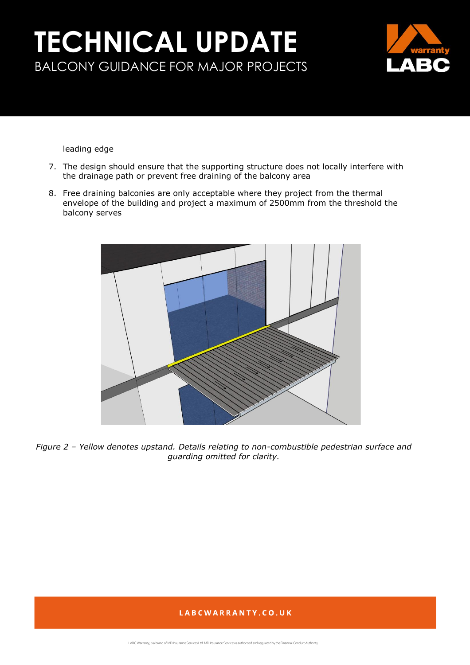

leading edge

- 7. The design should ensure that the supporting structure does not locally interfere with the drainage path or prevent free draining of the balcony area
- 8. Free draining balconies are only acceptable where they project from the thermal envelope of the building and project a maximum of 2500mm from the threshold the balcony serves



*Figure 2 – Yellow denotes upstand. Details relating to non-combustible pedestrian surface and guarding omitted for clarity.*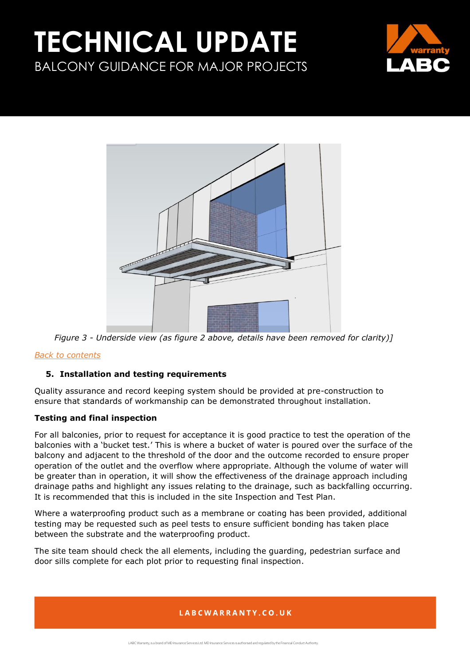



*Figure 3 - Underside view (as figure 2 above, details have been removed for clarity)]*

## *[Back to contents](#page-0-0)*

## <span id="page-19-0"></span>**5. Installation and testing requirements**

Quality assurance and record keeping system should be provided at pre-construction to ensure that standards of workmanship can be demonstrated throughout installation.

## **Testing and final inspection**

For all balconies, prior to request for acceptance it is good practice to test the operation of the balconies with a 'bucket test.' This is where a bucket of water is poured over the surface of the balcony and adjacent to the threshold of the door and the outcome recorded to ensure proper operation of the outlet and the overflow where appropriate. Although the volume of water will be greater than in operation, it will show the effectiveness of the drainage approach including drainage paths and highlight any issues relating to the drainage, such as backfalling occurring. It is recommended that this is included in the site Inspection and Test Plan.

Where a waterproofing product such as a membrane or coating has been provided, additional testing may be requested such as peel tests to ensure sufficient bonding has taken place between the substrate and the waterproofing product.

The site team should check the all elements, including the guarding, pedestrian surface and door sills complete for each plot prior to requesting final inspection.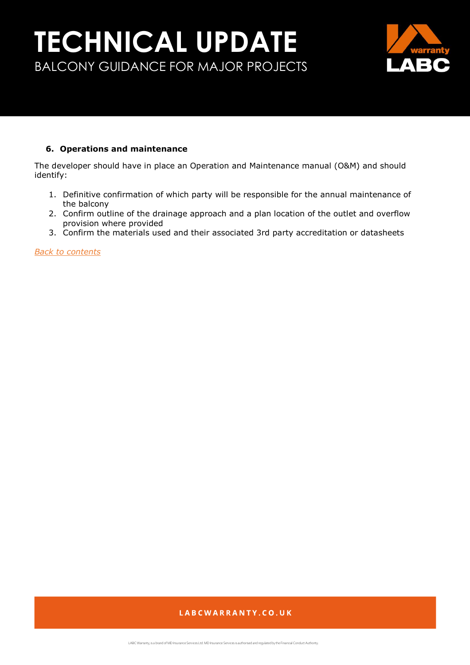

### <span id="page-20-0"></span>**6. Operations and maintenance**

The developer should have in place an Operation and Maintenance manual (O&M) and should identify:

- 1. Definitive confirmation of which party will be responsible for the annual maintenance of the balcony
- 2. Confirm outline of the drainage approach and a plan location of the outlet and overflow provision where provided
- 3. Confirm the materials used and their associated 3rd party accreditation or datasheets

*[Back to contents](#page-0-0)*